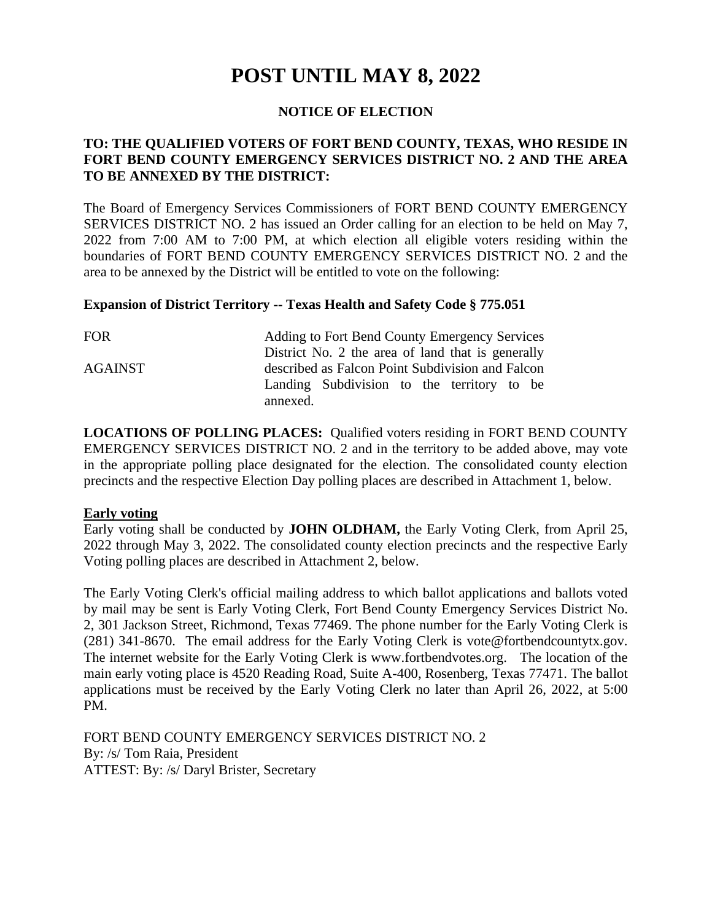# **POST UNTIL MAY 8, 2022**

# **NOTICE OF ELECTION**

# **TO: THE QUALIFIED VOTERS OF FORT BEND COUNTY, TEXAS, WHO RESIDE IN FORT BEND COUNTY EMERGENCY SERVICES DISTRICT NO. 2 AND THE AREA TO BE ANNEXED BY THE DISTRICT:**

The Board of Emergency Services Commissioners of FORT BEND COUNTY EMERGENCY SERVICES DISTRICT NO. 2 has issued an Order calling for an election to be held on May 7, 2022 from 7:00 AM to 7:00 PM, at which election all eligible voters residing within the boundaries of FORT BEND COUNTY EMERGENCY SERVICES DISTRICT NO. 2 and the area to be annexed by the District will be entitled to vote on the following:

#### **Expansion of District Territory -- Texas Health and Safety Code § 775.051**

| <b>FOR</b>     | Adding to Fort Bend County Emergency Services     |
|----------------|---------------------------------------------------|
|                | District No. 2 the area of land that is generally |
| <b>AGAINST</b> | described as Falcon Point Subdivision and Falcon  |
|                | Landing Subdivision to the territory to be        |
|                | annexed.                                          |

**LOCATIONS OF POLLING PLACES:** Qualified voters residing in FORT BEND COUNTY EMERGENCY SERVICES DISTRICT NO. 2 and in the territory to be added above, may vote in the appropriate polling place designated for the election. The consolidated county election precincts and the respective Election Day polling places are described in Attachment 1, below.

#### **Early voting**

Early voting shall be conducted by **JOHN OLDHAM,** the Early Voting Clerk, from April 25, 2022 through May 3, 2022. The consolidated county election precincts and the respective Early Voting polling places are described in Attachment 2, below.

The Early Voting Clerk's official mailing address to which ballot applications and ballots voted by mail may be sent is Early Voting Clerk, Fort Bend County Emergency Services District No. 2, 301 Jackson Street, Richmond, Texas 77469. The phone number for the Early Voting Clerk is (281) 341-8670. The email address for the Early Voting Clerk is vote@fortbendcountytx.gov. The internet website for the Early Voting Clerk is www.fortbendvotes.org. The location of the main early voting place is 4520 Reading Road, Suite A-400, Rosenberg, Texas 77471. The ballot applications must be received by the Early Voting Clerk no later than April 26, 2022, at 5:00 PM.

FORT BEND COUNTY EMERGENCY SERVICES DISTRICT NO. 2 By: /s/ Tom Raia, President ATTEST: By: /s/ Daryl Brister, Secretary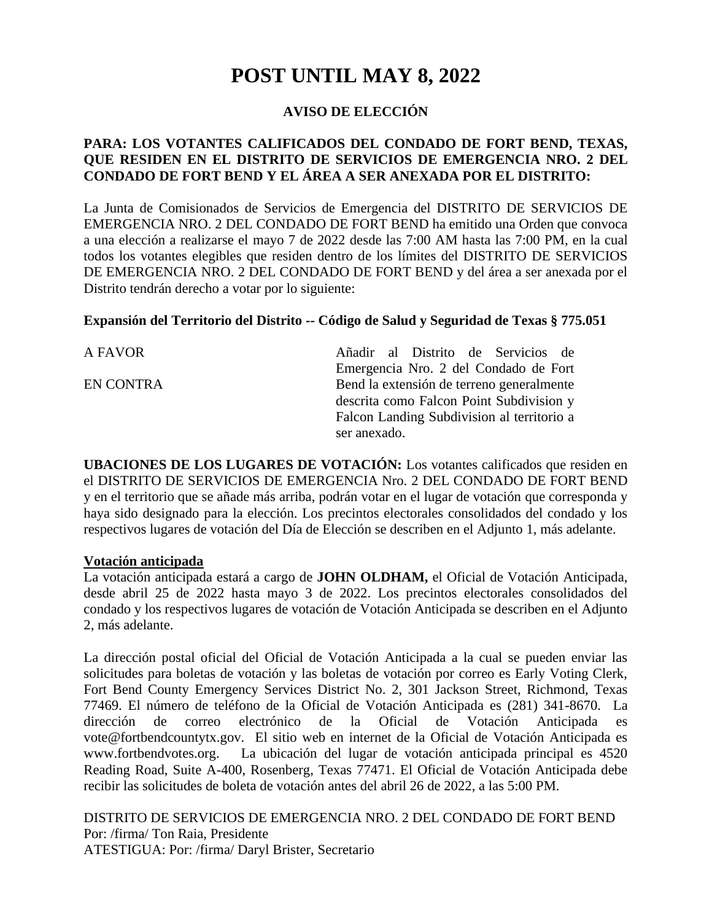# **POST UNTIL MAY 8, 2022**

# **AVISO DE ELECCIÓN**

# **PARA: LOS VOTANTES CALIFICADOS DEL CONDADO DE FORT BEND, TEXAS, QUE RESIDEN EN EL DISTRITO DE SERVICIOS DE EMERGENCIA NRO. 2 DEL CONDADO DE FORT BEND Y EL ÁREA A SER ANEXADA POR EL DISTRITO:**

La Junta de Comisionados de Servicios de Emergencia del DISTRITO DE SERVICIOS DE EMERGENCIA NRO. 2 DEL CONDADO DE FORT BEND ha emitido una Orden que convoca a una elección a realizarse el mayo 7 de 2022 desde las 7:00 AM hasta las 7:00 PM, en la cual todos los votantes elegibles que residen dentro de los límites del DISTRITO DE SERVICIOS DE EMERGENCIA NRO. 2 DEL CONDADO DE FORT BEND y del área a ser anexada por el Distrito tendrán derecho a votar por lo siguiente:

### **Expansión del Territorio del Distrito -- Código de Salud y Seguridad de Texas § 775.051**

| A FAVOR          | Añadir al Distrito de Servicios de         |
|------------------|--------------------------------------------|
|                  | Emergencia Nro. 2 del Condado de Fort      |
| <b>EN CONTRA</b> | Bend la extensión de terreno generalmente  |
|                  | descrita como Falcon Point Subdivision y   |
|                  | Falcon Landing Subdivision al territorio a |
|                  | ser anexado.                               |

**UBACIONES DE LOS LUGARES DE VOTACIÓN:** Los votantes calificados que residen en el DISTRITO DE SERVICIOS DE EMERGENCIA Nro. 2 DEL CONDADO DE FORT BEND y en el territorio que se añade más arriba, podrán votar en el lugar de votación que corresponda y haya sido designado para la elección. Los precintos electorales consolidados del condado y los respectivos lugares de votación del Día de Elección se describen en el Adjunto 1, más adelante.

#### **Votación anticipada**

La votación anticipada estará a cargo de **JOHN OLDHAM,** el Oficial de Votación Anticipada, desde abril 25 de 2022 hasta mayo 3 de 2022. Los precintos electorales consolidados del condado y los respectivos lugares de votación de Votación Anticipada se describen en el Adjunto 2, más adelante.

La dirección postal oficial del Oficial de Votación Anticipada a la cual se pueden enviar las solicitudes para boletas de votación y las boletas de votación por correo es Early Voting Clerk, Fort Bend County Emergency Services District No. 2, 301 Jackson Street, Richmond, Texas 77469. El número de teléfono de la Oficial de Votación Anticipada es (281) 341-8670. La dirección de correo electrónico de la Oficial de Votación Anticipada es vote@fortbendcountytx.gov. El sitio web en internet de la Oficial de Votación Anticipada es www.fortbendvotes.org. La ubicación del lugar de votación anticipada principal es 4520 Reading Road, Suite A-400, Rosenberg, Texas 77471. El Oficial de Votación Anticipada debe recibir las solicitudes de boleta de votación antes del abril 26 de 2022, a las 5:00 PM.

DISTRITO DE SERVICIOS DE EMERGENCIA NRO. 2 DEL CONDADO DE FORT BEND Por: /firma/ Ton Raia, Presidente ATESTIGUA: Por: /firma/ Daryl Brister, Secretario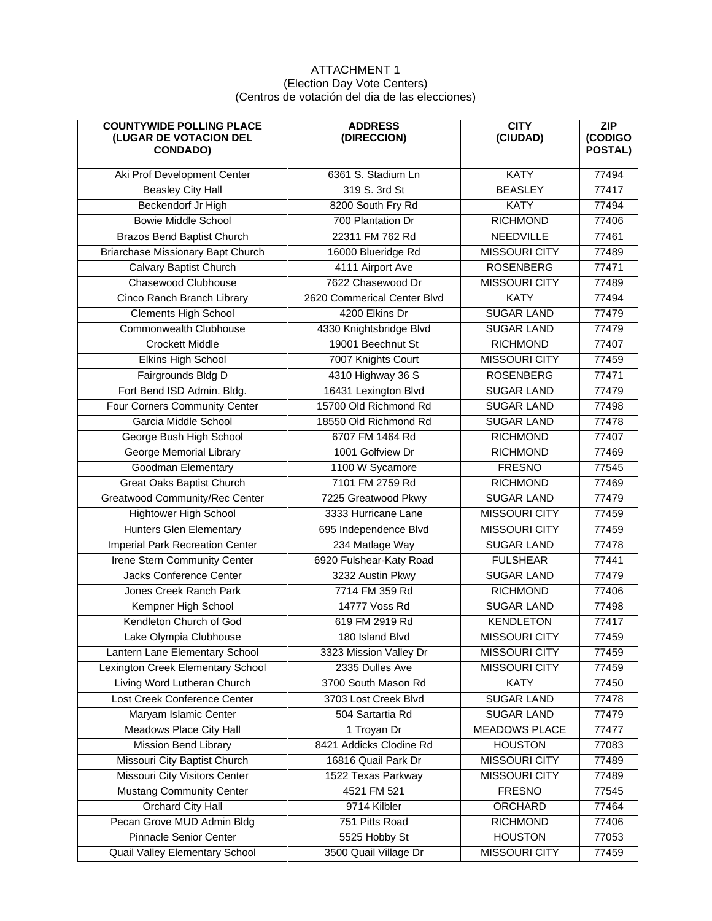#### ATTACHMENT 1 (Election Day Vote Centers) (Centros de votación del dia de las elecciones)

| <b>COUNTYWIDE POLLING PLACE</b><br>(LUGAR DE VOTACION DEL<br><b>CONDADO)</b> | <b>ADDRESS</b><br>(DIRECCION) | <b>CITY</b><br>(CIUDAD) | $\overline{ZIP}$<br>(CODIGO<br><b>POSTAL)</b> |
|------------------------------------------------------------------------------|-------------------------------|-------------------------|-----------------------------------------------|
| Aki Prof Development Center                                                  | 6361 S. Stadium Ln            | <b>KATY</b>             | 77494                                         |
| <b>Beasley City Hall</b>                                                     | 319 S. 3rd St                 | <b>BEASLEY</b>          | 77417                                         |
| Beckendorf Jr High                                                           | 8200 South Fry Rd             | <b>KATY</b>             | 77494                                         |
| <b>Bowie Middle School</b>                                                   | 700 Plantation Dr             | <b>RICHMOND</b>         | 77406                                         |
| <b>Brazos Bend Baptist Church</b>                                            | 22311 FM 762 Rd               | NEEDVILLE               | 77461                                         |
| <b>Briarchase Missionary Bapt Church</b>                                     | 16000 Blueridge Rd            | <b>MISSOURI CITY</b>    | 77489                                         |
| <b>Calvary Baptist Church</b>                                                | 4111 Airport Ave              | <b>ROSENBERG</b>        | 77471                                         |
| Chasewood Clubhouse                                                          | 7622 Chasewood Dr             | <b>MISSOURI CITY</b>    | 77489                                         |
| Cinco Ranch Branch Library                                                   | 2620 Commerical Center Blvd   | <b>KATY</b>             | 77494                                         |
| <b>Clements High School</b>                                                  | 4200 Elkins Dr                | <b>SUGAR LAND</b>       | 77479                                         |
| <b>Commonwealth Clubhouse</b>                                                | 4330 Knightsbridge Blvd       | <b>SUGAR LAND</b>       | 77479                                         |
| <b>Crockett Middle</b>                                                       | 19001 Beechnut St             | <b>RICHMOND</b>         | 77407                                         |
| <b>Elkins High School</b>                                                    | 7007 Knights Court            | <b>MISSOURI CITY</b>    | 77459                                         |
| Fairgrounds Bldg D                                                           | 4310 Highway 36 S             | <b>ROSENBERG</b>        | 77471                                         |
| Fort Bend ISD Admin. Bldg.                                                   | 16431 Lexington Blvd          | <b>SUGAR LAND</b>       | 77479                                         |
| Four Corners Community Center                                                | 15700 Old Richmond Rd         | <b>SUGAR LAND</b>       | 77498                                         |
| Garcia Middle School                                                         | 18550 Old Richmond Rd         | <b>SUGAR LAND</b>       | 77478                                         |
| George Bush High School                                                      | 6707 FM 1464 Rd               | <b>RICHMOND</b>         | 77407                                         |
| George Memorial Library                                                      | 1001 Golfview Dr              | <b>RICHMOND</b>         | 77469                                         |
| Goodman Elementary                                                           | 1100 W Sycamore               | <b>FRESNO</b>           | 77545                                         |
| Great Oaks Baptist Church                                                    | 7101 FM 2759 Rd               | <b>RICHMOND</b>         | 77469                                         |
| Greatwood Community/Rec Center                                               | 7225 Greatwood Pkwy           | <b>SUGAR LAND</b>       | 77479                                         |
| <b>Hightower High School</b>                                                 | 3333 Hurricane Lane           | <b>MISSOURI CITY</b>    | 77459                                         |
| Hunters Glen Elementary                                                      | 695 Independence Blvd         | <b>MISSOURI CITY</b>    | 77459                                         |
| <b>Imperial Park Recreation Center</b>                                       | 234 Matlage Way               | <b>SUGAR LAND</b>       | 77478                                         |
| Irene Stern Community Center                                                 | 6920 Fulshear-Katy Road       | <b>FULSHEAR</b>         | 77441                                         |
| <b>Jacks Conference Center</b>                                               | 3232 Austin Pkwy              | <b>SUGAR LAND</b>       | 77479                                         |
| Jones Creek Ranch Park                                                       | 7714 FM 359 Rd                | <b>RICHMOND</b>         | 77406                                         |
| Kempner High School                                                          | 14777 Voss Rd                 | <b>SUGAR LAND</b>       | 77498                                         |
| Kendleton Church of God                                                      | 619 FM 2919 Rd                | <b>KENDLETON</b>        | 77417                                         |
| Lake Olympia Clubhouse                                                       | 180 Island Blvd               | <b>MISSOURI CITY</b>    | 77459                                         |
| Lantern Lane Elementary School                                               | 3323 Mission Valley Dr        | <b>MISSOURI CITY</b>    | 77459                                         |
| Lexington Creek Elementary School                                            | 2335 Dulles Ave               | <b>MISSOURI CITY</b>    | 77459                                         |
| Living Word Lutheran Church                                                  | 3700 South Mason Rd           | <b>KATY</b>             | 77450                                         |
| Lost Creek Conference Center                                                 | 3703 Lost Creek Blvd          | <b>SUGAR LAND</b>       | 77478                                         |
| Maryam Islamic Center                                                        | 504 Sartartia Rd              | <b>SUGAR LAND</b>       | 77479                                         |
| Meadows Place City Hall                                                      | 1 Troyan Dr                   | MEADOWS PLACE           | 77477                                         |
| <b>Mission Bend Library</b>                                                  | 8421 Addicks Clodine Rd       | <b>HOUSTON</b>          | 77083                                         |
| Missouri City Baptist Church                                                 | 16816 Quail Park Dr           | <b>MISSOURI CITY</b>    | 77489                                         |
| Missouri City Visitors Center                                                | 1522 Texas Parkway            | <b>MISSOURI CITY</b>    | 77489                                         |
| <b>Mustang Community Center</b>                                              | 4521 FM 521                   | <b>FRESNO</b>           | 77545                                         |
| Orchard City Hall                                                            | 9714 Kilbler                  | ORCHARD                 | 77464                                         |
| Pecan Grove MUD Admin Bldg                                                   | 751 Pitts Road                | <b>RICHMOND</b>         | 77406                                         |
| <b>Pinnacle Senior Center</b>                                                | 5525 Hobby St                 | <b>HOUSTON</b>          | 77053                                         |
| Quail Valley Elementary School                                               | 3500 Quail Village Dr         | <b>MISSOURI CITY</b>    | 77459                                         |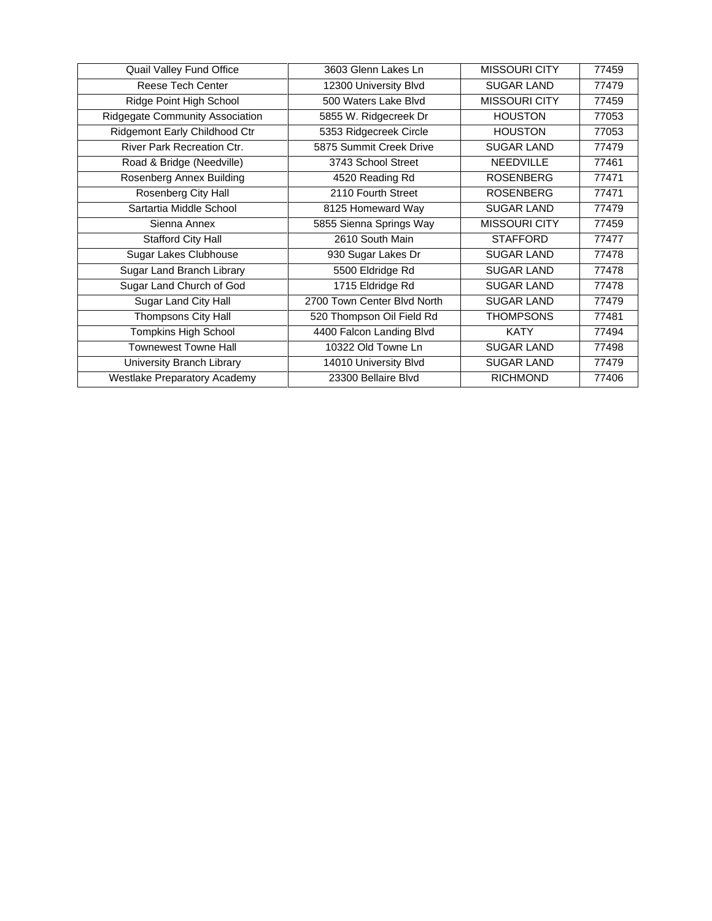| Quail Valley Fund Office            | 3603 Glenn Lakes Ln                     | <b>MISSOURI CITY</b> | 77459 |
|-------------------------------------|-----------------------------------------|----------------------|-------|
| <b>Reese Tech Center</b>            | 12300 University Blvd                   | <b>SUGAR LAND</b>    | 77479 |
| Ridge Point High School             | 500 Waters Lake Blvd                    | <b>MISSOURI CITY</b> | 77459 |
| Ridgegate Community Association     | 5855 W. Ridgecreek Dr                   | <b>HOUSTON</b>       | 77053 |
| Ridgemont Early Childhood Ctr       | 5353 Ridgecreek Circle                  | <b>HOUSTON</b>       | 77053 |
| <b>River Park Recreation Ctr.</b>   | 5875 Summit Creek Drive                 | <b>SUGAR LAND</b>    | 77479 |
| Road & Bridge (Needville)           | 3743 School Street                      | <b>NEEDVILLE</b>     | 77461 |
| Rosenberg Annex Building            | 4520 Reading Rd                         | <b>ROSENBERG</b>     | 77471 |
| Rosenberg City Hall                 | 2110 Fourth Street                      | <b>ROSENBERG</b>     | 77471 |
| Sartartia Middle School             | 8125 Homeward Way                       | <b>SUGAR LAND</b>    | 77479 |
| Sienna Annex                        | 5855 Sienna Springs Way                 | <b>MISSOURI CITY</b> | 77459 |
| Stafford City Hall                  | 2610 South Main                         | <b>STAFFORD</b>      | 77477 |
| Sugar Lakes Clubhouse               | 930 Sugar Lakes Dr                      | <b>SUGAR LAND</b>    | 77478 |
| Sugar Land Branch Library           | 5500 Eldridge Rd                        | <b>SUGAR LAND</b>    | 77478 |
| Sugar Land Church of God            | 1715 Eldridge Rd                        | <b>SUGAR LAND</b>    | 77478 |
| Sugar Land City Hall                | 2700 Town Center Blvd North             | <b>SUGAR LAND</b>    | 77479 |
| Thompsons City Hall                 | 520 Thompson Oil Field Rd               | <b>THOMPSONS</b>     | 77481 |
| <b>Tompkins High School</b>         | 4400 Falcon Landing Blvd<br><b>KATY</b> |                      | 77494 |
| <b>Townewest Towne Hall</b>         | 10322 Old Towne Ln                      | <b>SUGAR LAND</b>    | 77498 |
| University Branch Library           | 14010 University Blvd                   | <b>SUGAR LAND</b>    | 77479 |
| <b>Westlake Preparatory Academy</b> | 23300 Bellaire Blyd                     | <b>RICHMOND</b>      | 77406 |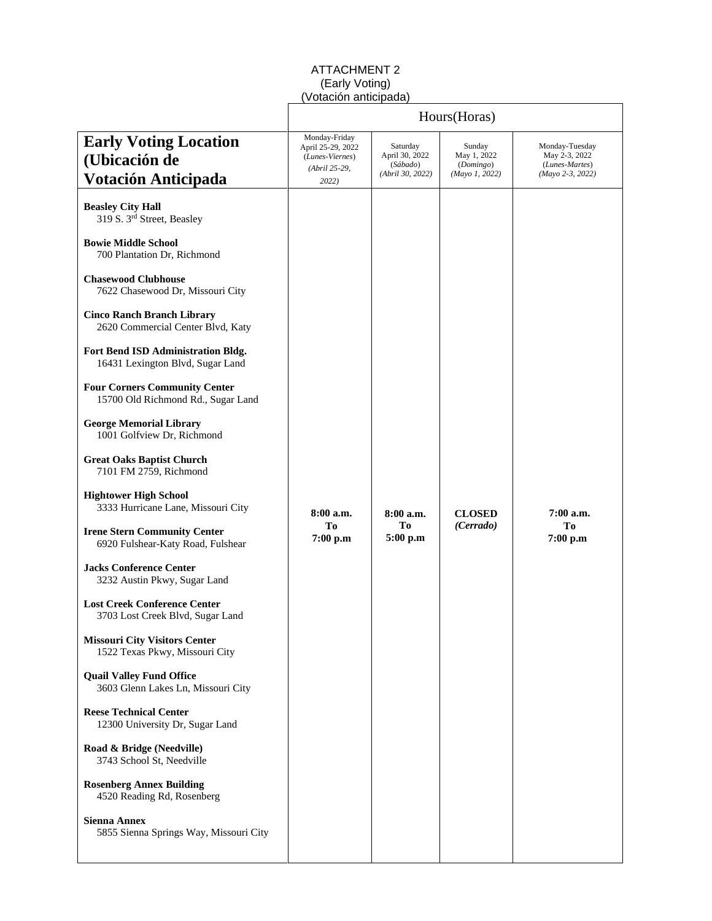#### ATTACHMENT 2 (Early Voting) (Votación anticipada)

|                                                                               | Hours(Horas)                                                                    |                                                            |                                                      |                                                                       |
|-------------------------------------------------------------------------------|---------------------------------------------------------------------------------|------------------------------------------------------------|------------------------------------------------------|-----------------------------------------------------------------------|
| <b>Early Voting Location</b><br>(Ubicación de<br>Votación Anticipada          | Monday-Friday<br>April 25-29, 2022<br>(Lunes-Viernes)<br>(Abril 25-29,<br>2022) | Saturday<br>April 30, 2022<br>(Sábado)<br>(Abril 30, 2022) | Sunday<br>May 1, 2022<br>(Domingo)<br>(Mayo 1, 2022) | Monday-Tuesday<br>May 2-3, 2022<br>(Lunes-Martes)<br>(Mayo 2-3, 2022) |
| <b>Beasley City Hall</b><br>319 S. 3rd Street, Beasley                        |                                                                                 |                                                            |                                                      |                                                                       |
| <b>Bowie Middle School</b><br>700 Plantation Dr, Richmond                     |                                                                                 |                                                            |                                                      |                                                                       |
| <b>Chasewood Clubhouse</b><br>7622 Chasewood Dr, Missouri City                |                                                                                 |                                                            |                                                      |                                                                       |
| <b>Cinco Ranch Branch Library</b><br>2620 Commercial Center Blvd, Katy        |                                                                                 |                                                            |                                                      |                                                                       |
| <b>Fort Bend ISD Administration Bldg.</b><br>16431 Lexington Blvd, Sugar Land |                                                                                 |                                                            |                                                      |                                                                       |
| <b>Four Corners Community Center</b><br>15700 Old Richmond Rd., Sugar Land    |                                                                                 |                                                            |                                                      |                                                                       |
| <b>George Memorial Library</b><br>1001 Golfview Dr, Richmond                  |                                                                                 |                                                            |                                                      |                                                                       |
| <b>Great Oaks Baptist Church</b><br>7101 FM 2759, Richmond                    |                                                                                 |                                                            |                                                      |                                                                       |
| <b>Hightower High School</b><br>3333 Hurricane Lane, Missouri City            | 8:00 a.m.                                                                       | 8:00 a.m.                                                  | <b>CLOSED</b>                                        | 7:00 a.m.                                                             |
| <b>Irene Stern Community Center</b><br>6920 Fulshear-Katy Road, Fulshear      | Tо<br>7:00 p.m                                                                  | To<br>5:00 p.m                                             | (Cerrado)                                            | To<br>7:00 p.m                                                        |
| <b>Jacks Conference Center</b><br>3232 Austin Pkwy, Sugar Land                |                                                                                 |                                                            |                                                      |                                                                       |
| <b>Lost Creek Conference Center</b><br>3703 Lost Creek Blvd, Sugar Land       |                                                                                 |                                                            |                                                      |                                                                       |
| <b>Missouri City Visitors Center</b><br>1522 Texas Pkwy, Missouri City        |                                                                                 |                                                            |                                                      |                                                                       |
| <b>Quail Valley Fund Office</b><br>3603 Glenn Lakes Ln, Missouri City         |                                                                                 |                                                            |                                                      |                                                                       |
| <b>Reese Technical Center</b><br>12300 University Dr, Sugar Land              |                                                                                 |                                                            |                                                      |                                                                       |
| Road & Bridge (Needville)<br>3743 School St, Needville                        |                                                                                 |                                                            |                                                      |                                                                       |
| <b>Rosenberg Annex Building</b><br>4520 Reading Rd, Rosenberg                 |                                                                                 |                                                            |                                                      |                                                                       |
| <b>Sienna Annex</b><br>5855 Sienna Springs Way, Missouri City                 |                                                                                 |                                                            |                                                      |                                                                       |